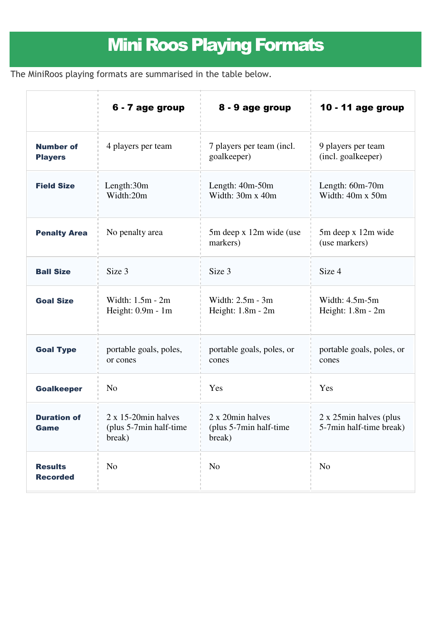## Mini Roos Playing Formats

The MiniRoos playing formats are summarised in the table below.

|                                    | 6 - 7 age group                                                    | 8 - 9 age group                                      | 10 - 11 age group                                 |
|------------------------------------|--------------------------------------------------------------------|------------------------------------------------------|---------------------------------------------------|
| <b>Number of</b><br><b>Players</b> | 4 players per team                                                 | 7 players per team (incl.<br>goalkeeper)             | 9 players per team<br>(incl. goalkeeper)          |
| <b>Field Size</b>                  | Length: $30m$<br>Width:20m                                         | Length: $40m-50m$<br>Width: 30m x 40m                | Length: $60m-70m$<br>Width: 40m x 50m             |
| <b>Penalty Area</b>                | No penalty area                                                    | 5m deep x 12m wide (use<br>markers)                  | 5m deep x 12m wide<br>(use markers)               |
| <b>Ball Size</b>                   | Size 3                                                             | Size 3                                               | Size 4                                            |
| <b>Goal Size</b>                   | Width: 1.5m - 2m<br>Height: 0.9m - 1m                              | Width: 2.5m - 3m<br>Height: 1.8m - 2m                | Width: $4.5m-5m$<br>Height: 1.8m - 2m             |
| <b>Goal Type</b>                   | portable goals, poles,<br>or cones                                 | portable goals, poles, or<br>cones                   | portable goals, poles, or<br>cones                |
| <b>Goalkeeper</b>                  | N <sub>o</sub>                                                     | Yes                                                  | Yes                                               |
| <b>Duration of</b><br><b>Game</b>  | $2 \times 15$ -20 $min$ halves<br>(plus 5-7min half-time<br>break) | 2 x 20min halves<br>(plus 5-7min half-time<br>break) | 2 x 25min halves (plus<br>5-7min half-time break) |
| <b>Results</b><br><b>Recorded</b>  | N <sub>o</sub>                                                     | N <sub>o</sub>                                       | N <sub>0</sub>                                    |